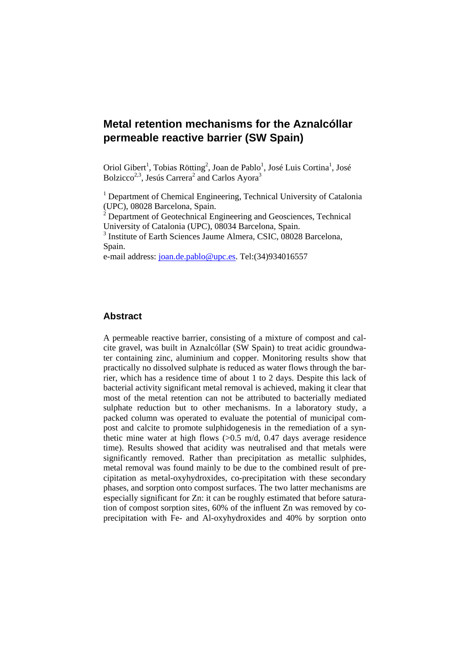Oriol Gibert<sup>1</sup>, Tobias Rötting<sup>2</sup>, Joan de Pablo<sup>1</sup>, José Luis Cortina<sup>1</sup>, José Bolzicco<sup>2,3</sup>, Jesús Carrera<sup>2</sup> and Carlos Ayora<sup>3</sup>

<sup>1</sup> Department of Chemical Engineering, Technical University of Catalonia (UPC), 08028 Barcelona, Spain.

 $2$  Department of Geotechnical Engineering and Geosciences, Technical University of Catalonia (UPC), 08034 Barcelona, Spain.

<sup>3</sup> Institute of Earth Sciences Jaume Almera, CSIC, 08028 Barcelona, Spain.

e-mail address: joan.de.pablo@upc.es. Tel:(34)934016557

## **Abstract**

A permeable reactive barrier, consisting of a mixture of compost and calcite gravel, was built in Aznalcóllar (SW Spain) to treat acidic groundwater containing zinc, aluminium and copper. Monitoring results show that practically no dissolved sulphate is reduced as water flows through the barrier, which has a residence time of about 1 to 2 days. Despite this lack of bacterial activity significant metal removal is achieved, making it clear that most of the metal retention can not be attributed to bacterially mediated sulphate reduction but to other mechanisms. In a laboratory study, a packed column was operated to evaluate the potential of municipal compost and calcite to promote sulphidogenesis in the remediation of a synthetic mine water at high flows  $(>0.5 \text{ m/d}, 0.47 \text{ days}$  average residence time). Results showed that acidity was neutralised and that metals were significantly removed. Rather than precipitation as metallic sulphides, metal removal was found mainly to be due to the combined result of precipitation as metal-oxyhydroxides, co-precipitation with these secondary phases, and sorption onto compost surfaces. The two latter mechanisms are especially significant for Zn: it can be roughly estimated that before saturation of compost sorption sites, 60% of the influent Zn was removed by coprecipitation with Fe- and Al-oxyhydroxides and 40% by sorption onto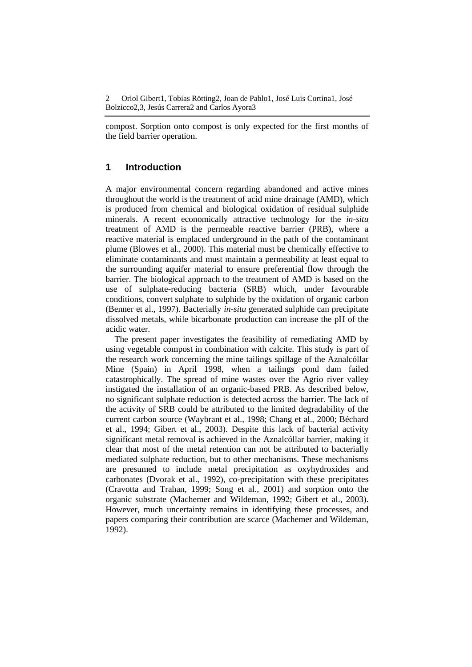compost. Sorption onto compost is only expected for the first months of the field barrier operation.

## **1 Introduction**

A major environmental concern regarding abandoned and active mines throughout the world is the treatment of acid mine drainage (AMD), which is produced from chemical and biological oxidation of residual sulphide minerals. A recent economically attractive technology for the *in-situ* treatment of AMD is the permeable reactive barrier (PRB), where a reactive material is emplaced underground in the path of the contaminant plume (Blowes et al., 2000). This material must be chemically effective to eliminate contaminants and must maintain a permeability at least equal to the surrounding aquifer material to ensure preferential flow through the barrier. The biological approach to the treatment of AMD is based on the use of sulphate-reducing bacteria (SRB) which, under favourable conditions, convert sulphate to sulphide by the oxidation of organic carbon (Benner et al., 1997). Bacterially *in-situ* generated sulphide can precipitate dissolved metals, while bicarbonate production can increase the pH of the acidic water.

The present paper investigates the feasibility of remediating AMD by using vegetable compost in combination with calcite. This study is part of the research work concerning the mine tailings spillage of the Aznalcóllar Mine (Spain) in April 1998, when a tailings pond dam failed catastrophically. The spread of mine wastes over the Agrio river valley instigated the installation of an organic-based PRB. As described below, no significant sulphate reduction is detected across the barrier. The lack of the activity of SRB could be attributed to the limited degradability of the current carbon source (Waybrant et al., 1998; Chang et al., 2000; Béchard et al., 1994; Gibert et al., 2003). Despite this lack of bacterial activity significant metal removal is achieved in the Aznalcóllar barrier, making it clear that most of the metal retention can not be attributed to bacterially mediated sulphate reduction, but to other mechanisms. These mechanisms are presumed to include metal precipitation as oxyhydroxides and carbonates (Dvorak et al., 1992), co-precipitation with these precipitates (Cravotta and Trahan, 1999; Song et al., 2001) and sorption onto the organic substrate (Machemer and Wildeman, 1992; Gibert et al., 2003). However, much uncertainty remains in identifying these processes, and papers comparing their contribution are scarce (Machemer and Wildeman, 1992).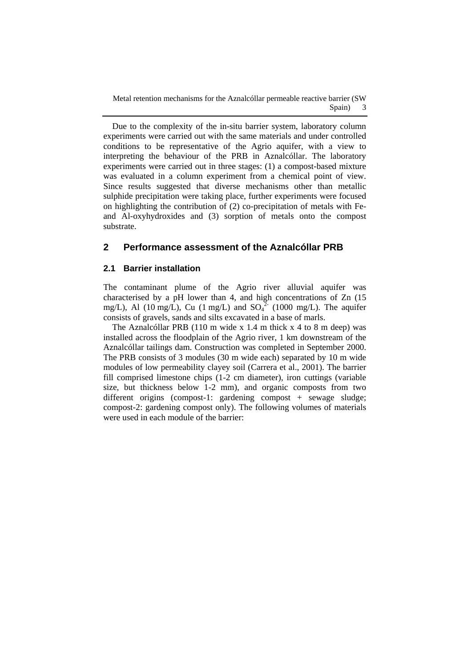Due to the complexity of the in-situ barrier system, laboratory column experiments were carried out with the same materials and under controlled conditions to be representative of the Agrio aquifer, with a view to interpreting the behaviour of the PRB in Aznalcóllar. The laboratory experiments were carried out in three stages: (1) a compost-based mixture was evaluated in a column experiment from a chemical point of view. Since results suggested that diverse mechanisms other than metallic sulphide precipitation were taking place, further experiments were focused on highlighting the contribution of (2) co-precipitation of metals with Feand Al-oxyhydroxides and (3) sorption of metals onto the compost substrate.

## **2 Performance assessment of the Aznalcóllar PRB**

#### **2.1 Barrier installation**

The contaminant plume of the Agrio river alluvial aquifer was characterised by a pH lower than 4, and high concentrations of Zn (15 mg/L), Al (10 mg/L), Cu (1 mg/L) and  $SO_4^2$ <sup>2</sup> (1000 mg/L). The aquifer consists of gravels, sands and silts excavated in a base of marls.

The Aznalcóllar PRB (110 m wide x 1.4 m thick x 4 to 8 m deep) was installed across the floodplain of the Agrio river, 1 km downstream of the Aznalcóllar tailings dam. Construction was completed in September 2000. The PRB consists of 3 modules (30 m wide each) separated by 10 m wide modules of low permeability clayey soil (Carrera et al., 2001). The barrier fill comprised limestone chips (1-2 cm diameter), iron cuttings (variable size, but thickness below 1-2 mm), and organic composts from two different origins (compost-1: gardening compost + sewage sludge; compost-2: gardening compost only). The following volumes of materials were used in each module of the barrier: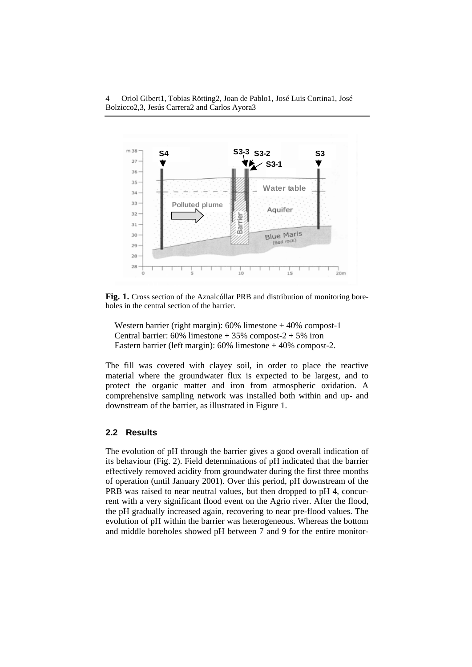

**Fig. 1.** Cross section of the Aznalcóllar PRB and distribution of monitoring boreholes in the central section of the barrier.

Western barrier (right margin): 60% limestone + 40% compost-1 Central barrier:  $60\%$  limestone  $+35\%$  compost- $2 + 5\%$  iron Eastern barrier (left margin): 60% limestone + 40% compost-2.

The fill was covered with clayey soil, in order to place the reactive material where the groundwater flux is expected to be largest, and to protect the organic matter and iron from atmospheric oxidation. A comprehensive sampling network was installed both within and up- and downstream of the barrier, as illustrated in Figure 1.

#### **2.2 Results**

The evolution of pH through the barrier gives a good overall indication of its behaviour (Fig. 2). Field determinations of pH indicated that the barrier effectively removed acidity from groundwater during the first three months of operation (until January 2001). Over this period, pH downstream of the PRB was raised to near neutral values, but then dropped to pH 4, concurrent with a very significant flood event on the Agrio river. After the flood, the pH gradually increased again, recovering to near pre-flood values. The evolution of pH within the barrier was heterogeneous. Whereas the bottom and middle boreholes showed pH between 7 and 9 for the entire monitor-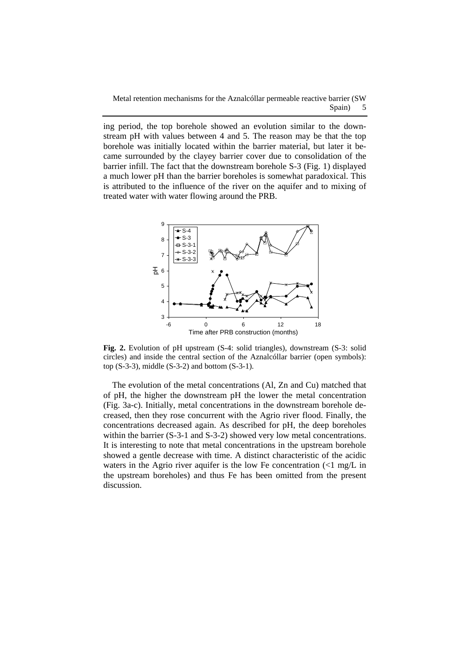ing period, the top borehole showed an evolution similar to the downstream pH with values between 4 and 5. The reason may be that the top borehole was initially located within the barrier material, but later it became surrounded by the clayey barrier cover due to consolidation of the barrier infill. The fact that the downstream borehole S-3 (Fig. 1) displayed a much lower pH than the barrier boreholes is somewhat paradoxical. This is attributed to the influence of the river on the aquifer and to mixing of treated water with water flowing around the PRB.



**Fig. 2.** Evolution of pH upstream (S-4: solid triangles), downstream (S-3: solid circles) and inside the central section of the Aznalcóllar barrier (open symbols): top  $(S-3-3)$ , middle  $(S-3-2)$  and bottom  $(S-3-1)$ .

The evolution of the metal concentrations (Al, Zn and Cu) matched that of pH, the higher the downstream pH the lower the metal concentration (Fig. 3a-c). Initially, metal concentrations in the downstream borehole decreased, then they rose concurrent with the Agrio river flood. Finally, the concentrations decreased again. As described for pH, the deep boreholes within the barrier (S-3-1 and S-3-2) showed very low metal concentrations. It is interesting to note that metal concentrations in the upstream borehole showed a gentle decrease with time. A distinct characteristic of the acidic waters in the Agrio river aquifer is the low Fe concentration  $\langle$ <1 mg/L in the upstream boreholes) and thus Fe has been omitted from the present discussion.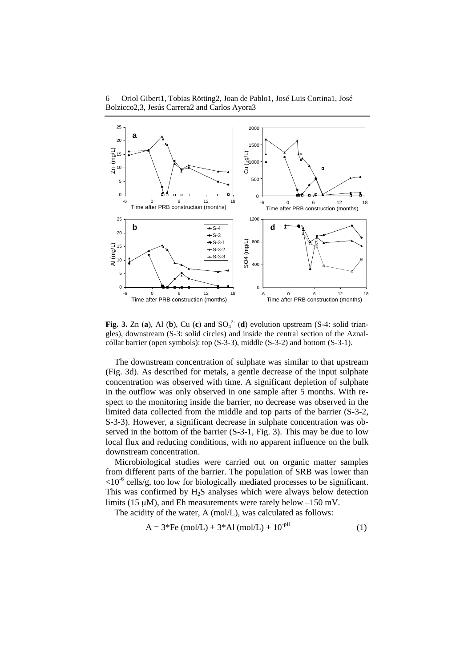



**Fig. 3.** Zn (a), Al (b), Cu (c) and  $SO_4^{2-}$  (d) evolution upstream (S-4: solid triangles), downstream (S-3: solid circles) and inside the central section of the Aznalcóllar barrier (open symbols): top (S-3-3), middle (S-3-2) and bottom (S-3-1).

The downstream concentration of sulphate was similar to that upstream (Fig. 3d). As described for metals, a gentle decrease of the input sulphate concentration was observed with time. A significant depletion of sulphate in the outflow was only observed in one sample after 5 months. With respect to the monitoring inside the barrier, no decrease was observed in the limited data collected from the middle and top parts of the barrier (S-3-2, S-3-3). However, a significant decrease in sulphate concentration was observed in the bottom of the barrier (S-3-1, Fig. 3). This may be due to low local flux and reducing conditions, with no apparent influence on the bulk downstream concentration.

Microbiological studies were carried out on organic matter samples from different parts of the barrier. The population of SRB was lower than  $\langle 10^{-6} \text{ cells/g}, \text{too low for biologically mediated processes to be significant.}$ This was confirmed by  $H_2S$  analyses which were always below detection limits (15 μM), and Eh measurements were rarely below –150 mV.

The acidity of the water, A (mol/L), was calculated as follows:

$$
A = 3*Fe (mol/L) + 3*Al (mol/L) + 10pH
$$
 (1)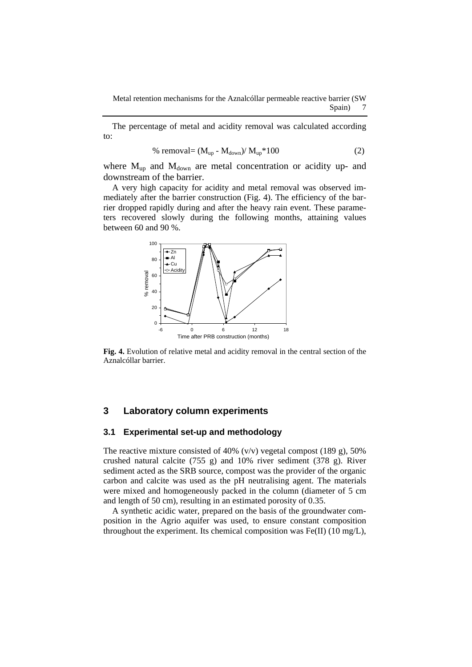The percentage of metal and acidity removal was calculated according to:

% removal= 
$$
(M_{up} - M_{down}) / M_{up} * 100
$$
 (2)

where  $M_{up}$  and  $M_{down}$  are metal concentration or acidity up- and downstream of the barrier.

A very high capacity for acidity and metal removal was observed immediately after the barrier construction (Fig. 4). The efficiency of the barrier dropped rapidly during and after the heavy rain event. These parameters recovered slowly during the following months, attaining values between 60 and 90 %.



**Fig. 4.** Evolution of relative metal and acidity removal in the central section of the Aznalcóllar barrier.

#### **3 Laboratory column experiments**

#### **3.1 Experimental set-up and methodology**

The reactive mixture consisted of 40%  $(v/v)$  vegetal compost (189 g), 50% crushed natural calcite (755 g) and 10% river sediment (378 g). River sediment acted as the SRB source, compost was the provider of the organic carbon and calcite was used as the pH neutralising agent. The materials were mixed and homogeneously packed in the column (diameter of 5 cm and length of 50 cm), resulting in an estimated porosity of 0.35.

A synthetic acidic water, prepared on the basis of the groundwater composition in the Agrio aquifer was used, to ensure constant composition throughout the experiment. Its chemical composition was Fe(II) (10 mg/L),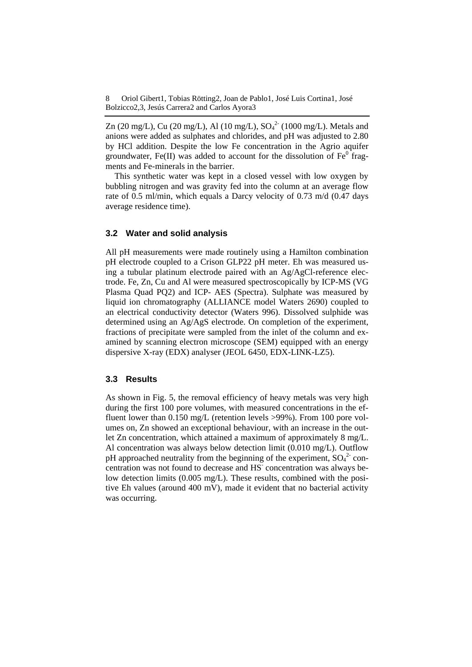Zn (20 mg/L), Cu (20 mg/L), Al (10 mg/L),  $SO_4^2$ <sup>-</sup> (1000 mg/L). Metals and anions were added as sulphates and chlorides, and pH was adjusted to 2.80 by HCl addition. Despite the low Fe concentration in the Agrio aquifer groundwater, Fe(II) was added to account for the dissolution of  $Fe^{0}$  fragments and Fe-minerals in the barrier.

This synthetic water was kept in a closed vessel with low oxygen by bubbling nitrogen and was gravity fed into the column at an average flow rate of 0.5 ml/min, which equals a Darcy velocity of 0.73 m/d (0.47 days average residence time).

### **3.2 Water and solid analysis**

All pH measurements were made routinely using a Hamilton combination pH electrode coupled to a Crison GLP22 pH meter. Eh was measured using a tubular platinum electrode paired with an Ag/AgCl-reference electrode. Fe, Zn, Cu and Al were measured spectroscopically by ICP-MS (VG Plasma Quad PQ2) and ICP- AES (Spectra). Sulphate was measured by liquid ion chromatography (ALLIANCE model Waters 2690) coupled to an electrical conductivity detector (Waters 996). Dissolved sulphide was determined using an Ag/AgS electrode. On completion of the experiment, fractions of precipitate were sampled from the inlet of the column and examined by scanning electron microscope (SEM) equipped with an energy dispersive X-ray (EDX) analyser (JEOL 6450, EDX-LINK-LZ5).

#### **3.3 Results**

As shown in Fig. 5, the removal efficiency of heavy metals was very high during the first 100 pore volumes, with measured concentrations in the effluent lower than 0.150 mg/L (retention levels >99%). From 100 pore volumes on, Zn showed an exceptional behaviour, with an increase in the outlet Zn concentration, which attained a maximum of approximately 8 mg/L. Al concentration was always below detection limit (0.010 mg/L). Outflow pH approached neutrality from the beginning of the experiment,  $SO_4^2$  concentration was not found to decrease and HS<sup>-</sup> concentration was always below detection limits (0.005 mg/L). These results, combined with the positive Eh values (around 400 mV), made it evident that no bacterial activity was occurring.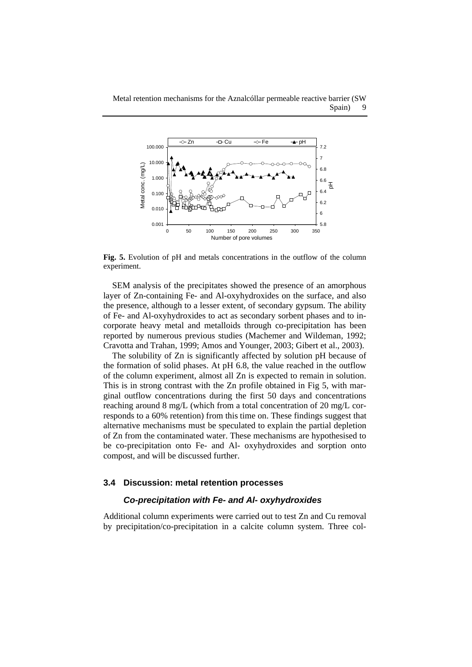

**Fig. 5.** Evolution of pH and metals concentrations in the outflow of the column experiment.

SEM analysis of the precipitates showed the presence of an amorphous layer of Zn-containing Fe- and Al-oxyhydroxides on the surface, and also the presence, although to a lesser extent, of secondary gypsum. The ability of Fe- and Al-oxyhydroxides to act as secondary sorbent phases and to incorporate heavy metal and metalloids through co-precipitation has been reported by numerous previous studies (Machemer and Wildeman, 1992; Cravotta and Trahan, 1999; Amos and Younger, 2003; Gibert et al., 2003).

The solubility of Zn is significantly affected by solution pH because of the formation of solid phases. At pH 6.8, the value reached in the outflow of the column experiment, almost all Zn is expected to remain in solution. This is in strong contrast with the Zn profile obtained in Fig 5, with marginal outflow concentrations during the first 50 days and concentrations reaching around 8 mg/L (which from a total concentration of 20 mg/L corresponds to a 60% retention) from this time on. These findings suggest that alternative mechanisms must be speculated to explain the partial depletion of Zn from the contaminated water. These mechanisms are hypothesised to be co-precipitation onto Fe- and Al- oxyhydroxides and sorption onto compost, and will be discussed further.

#### **3.4 Discussion: metal retention processes**

#### *Co-precipitation with Fe- and Al- oxyhydroxides*

Additional column experiments were carried out to test Zn and Cu removal by precipitation/co-precipitation in a calcite column system. Three col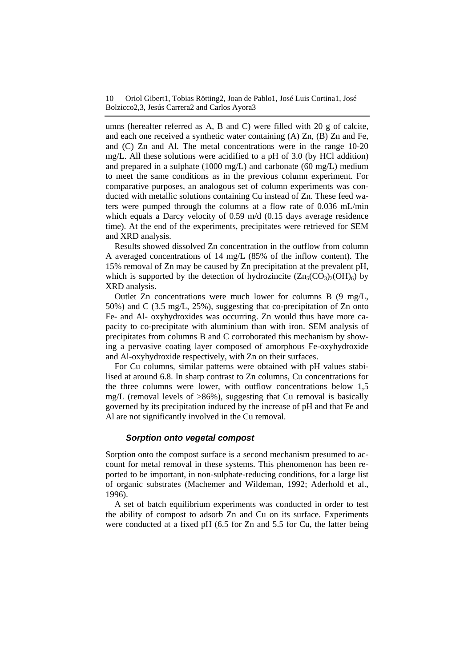10 Oriol Gibert1, Tobias Rötting2, Joan de Pablo1, José Luis Cortina1, José Bolzicco2,3, Jesús Carrera2 and Carlos Ayora3

umns (hereafter referred as A, B and C) were filled with 20 g of calcite, and each one received a synthetic water containing (A) Zn, (B) Zn and Fe, and (C) Zn and Al. The metal concentrations were in the range 10-20 mg/L. All these solutions were acidified to a pH of 3.0 (by HCl addition) and prepared in a sulphate (1000 mg/L) and carbonate (60 mg/L) medium to meet the same conditions as in the previous column experiment. For comparative purposes, an analogous set of column experiments was conducted with metallic solutions containing Cu instead of Zn. These feed waters were pumped through the columns at a flow rate of 0.036 mL/min which equals a Darcy velocity of 0.59 m/d (0.15 days average residence time). At the end of the experiments, precipitates were retrieved for SEM and XRD analysis.

Results showed dissolved Zn concentration in the outflow from column A averaged concentrations of 14 mg/L (85% of the inflow content). The 15% removal of Zn may be caused by Zn precipitation at the prevalent pH, which is supported by the detection of hydrozincite  $(Zn_5(CO_3)_2(OH)_6)$  by XRD analysis.

Outlet Zn concentrations were much lower for columns B (9 mg/L, 50%) and C (3.5 mg/L, 25%), suggesting that co-precipitation of Zn onto Fe- and Al- oxyhydroxides was occurring. Zn would thus have more capacity to co-precipitate with aluminium than with iron. SEM analysis of precipitates from columns B and C corroborated this mechanism by showing a pervasive coating layer composed of amorphous Fe-oxyhydroxide and Al-oxyhydroxide respectively, with Zn on their surfaces.

For Cu columns, similar patterns were obtained with pH values stabilised at around 6.8. In sharp contrast to Zn columns, Cu concentrations for the three columns were lower, with outflow concentrations below 1,5 mg/L (removal levels of  $>86\%$ ), suggesting that Cu removal is basically governed by its precipitation induced by the increase of pH and that Fe and Al are not significantly involved in the Cu removal.

#### *Sorption onto vegetal compost*

Sorption onto the compost surface is a second mechanism presumed to account for metal removal in these systems. This phenomenon has been reported to be important, in non-sulphate-reducing conditions, for a large list of organic substrates (Machemer and Wildeman, 1992; Aderhold et al., 1996).

A set of batch equilibrium experiments was conducted in order to test the ability of compost to adsorb Zn and Cu on its surface. Experiments were conducted at a fixed pH (6.5 for Zn and 5.5 for Cu, the latter being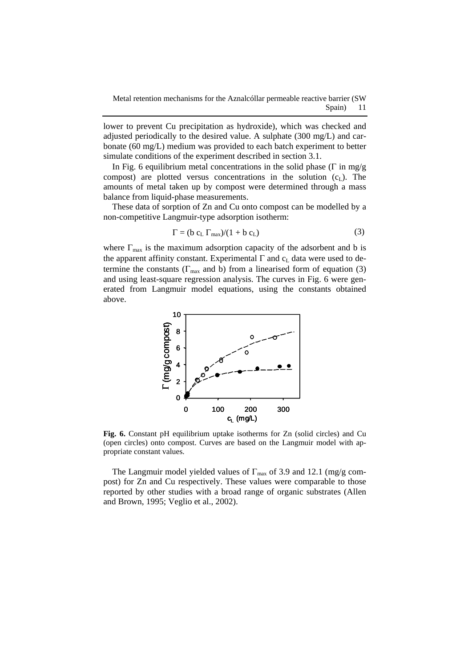lower to prevent Cu precipitation as hydroxide), which was checked and adjusted periodically to the desired value. A sulphate (300 mg/L) and carbonate (60 mg/L) medium was provided to each batch experiment to better simulate conditions of the experiment described in section 3.1.

In Fig. 6 equilibrium metal concentrations in the solid phase ( $\Gamma$  in mg/g compost) are plotted versus concentrations in the solution  $(c<sub>L</sub>)$ . The amounts of metal taken up by compost were determined through a mass balance from liquid-phase measurements.

These data of sorption of Zn and Cu onto compost can be modelled by a non-competitive Langmuir-type adsorption isotherm:

$$
\Gamma = (b cL \Gammamax)/(1 + b cL)
$$
 (3)

where  $\Gamma_{\text{max}}$  is the maximum adsorption capacity of the adsorbent and b is the apparent affinity constant. Experimental  $\Gamma$  and  $c<sub>L</sub>$  data were used to determine the constants ( $\Gamma_{\text{max}}$  and b) from a linearised form of equation (3) and using least-square regression analysis. The curves in Fig. 6 were generated from Langmuir model equations, using the constants obtained above.



**Fig. 6.** Constant pH equilibrium uptake isotherms for Zn (solid circles) and Cu (open circles) onto compost. Curves are based on the Langmuir model with appropriate constant values.

The Langmuir model yielded values of  $\Gamma_{\text{max}}$  of 3.9 and 12.1 (mg/g compost) for Zn and Cu respectively. These values were comparable to those reported by other studies with a broad range of organic substrates (Allen and Brown, 1995; Veglio et al., 2002).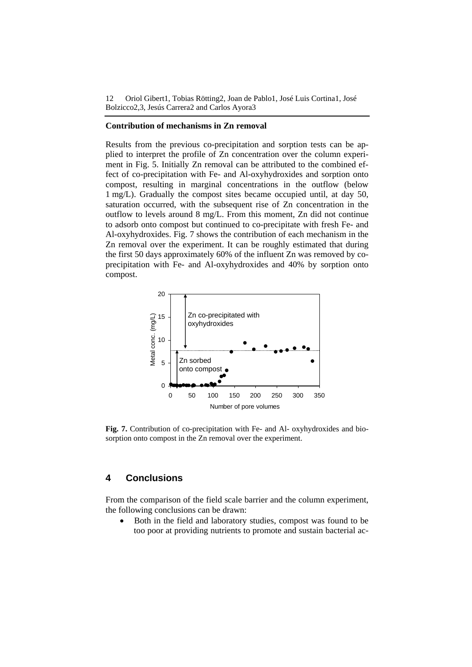12 Oriol Gibert1, Tobias Rötting2, Joan de Pablo1, José Luis Cortina1, José Bolzicco2,3, Jesús Carrera2 and Carlos Ayora3

#### **Contribution of mechanisms in Zn removal**

Results from the previous co-precipitation and sorption tests can be applied to interpret the profile of Zn concentration over the column experiment in Fig. 5. Initially Zn removal can be attributed to the combined effect of co-precipitation with Fe- and Al-oxyhydroxides and sorption onto compost, resulting in marginal concentrations in the outflow (below 1 mg/L). Gradually the compost sites became occupied until, at day 50, saturation occurred, with the subsequent rise of Zn concentration in the outflow to levels around 8 mg/L. From this moment, Zn did not continue to adsorb onto compost but continued to co-precipitate with fresh Fe- and Al-oxyhydroxides. Fig. 7 shows the contribution of each mechanism in the Zn removal over the experiment. It can be roughly estimated that during the first 50 days approximately 60% of the influent Zn was removed by coprecipitation with Fe- and Al-oxyhydroxides and 40% by sorption onto compost.



**Fig. 7.** Contribution of co-precipitation with Fe- and Al- oxyhydroxides and biosorption onto compost in the Zn removal over the experiment.

#### **4 Conclusions**

From the comparison of the field scale barrier and the column experiment, the following conclusions can be drawn:

• Both in the field and laboratory studies, compost was found to be too poor at providing nutrients to promote and sustain bacterial ac-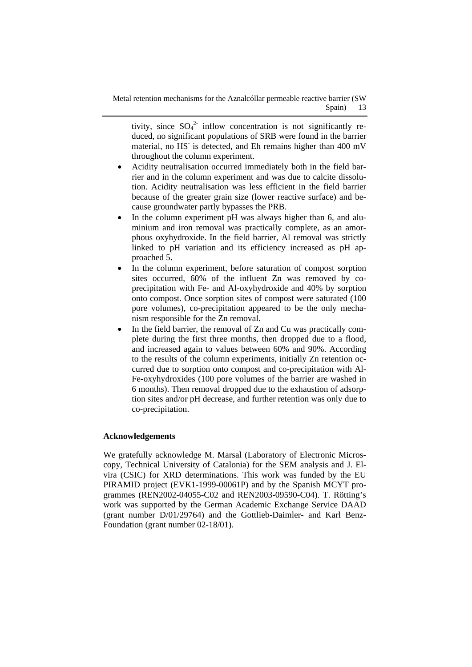tivity, since  $SO_4^2$  inflow concentration is not significantly reduced, no significant populations of SRB were found in the barrier material, no HS is detected, and Eh remains higher than 400 mV throughout the column experiment.

- Acidity neutralisation occurred immediately both in the field barrier and in the column experiment and was due to calcite dissolution. Acidity neutralisation was less efficient in the field barrier because of the greater grain size (lower reactive surface) and because groundwater partly bypasses the PRB.
- In the column experiment pH was always higher than 6, and aluminium and iron removal was practically complete, as an amorphous oxyhydroxide. In the field barrier, Al removal was strictly linked to pH variation and its efficiency increased as pH approached 5.
- In the column experiment, before saturation of compost sorption sites occurred, 60% of the influent Zn was removed by coprecipitation with Fe- and Al-oxyhydroxide and 40% by sorption onto compost. Once sorption sites of compost were saturated (100 pore volumes), co-precipitation appeared to be the only mechanism responsible for the Zn removal.
- In the field barrier, the removal of Zn and Cu was practically complete during the first three months, then dropped due to a flood, and increased again to values between 60% and 90%. According to the results of the column experiments, initially Zn retention occurred due to sorption onto compost and co-precipitation with Al-Fe-oxyhydroxides (100 pore volumes of the barrier are washed in 6 months). Then removal dropped due to the exhaustion of adsorption sites and/or pH decrease, and further retention was only due to co-precipitation.

#### **Acknowledgements**

We gratefully acknowledge M. Marsal (Laboratory of Electronic Microscopy, Technical University of Catalonia) for the SEM analysis and J. Elvira (CSIC) for XRD determinations. This work was funded by the EU PIRAMID project (EVK1-1999-00061P) and by the Spanish MCYT programmes (REN2002-04055-C02 and REN2003-09590-C04). T. Rötting's work was supported by the German Academic Exchange Service DAAD (grant number D/01/29764) and the Gottlieb-Daimler- and Karl Benz-Foundation (grant number 02-18/01).